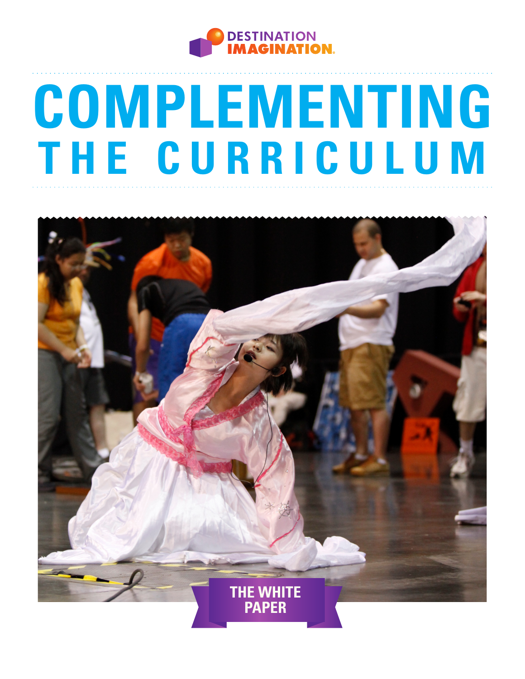

# **COMPLEMENTING THE CURRICULUM**

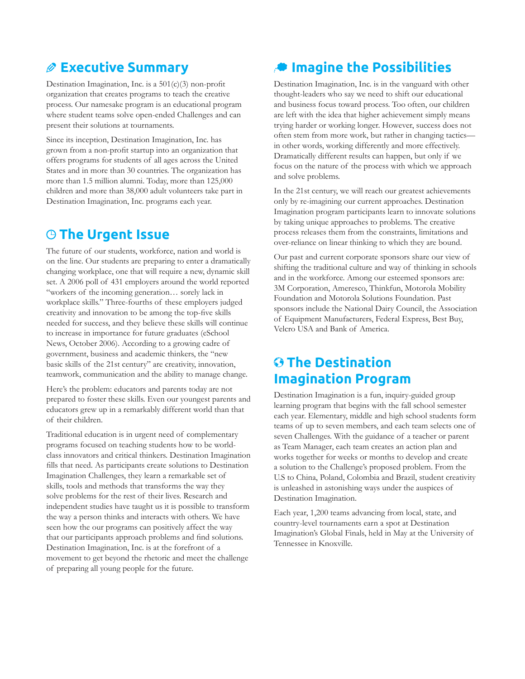### **Executive Summary**

Destination Imagination, Inc. is a 501(c)(3) non-profit organization that creates programs to teach the creative process. Our namesake program is an educational program where student teams solve open-ended Challenges and can present their solutions at tournaments.

Since its inception, Destination Imagination, Inc. has grown from a non-profit startup into an organization that offers programs for students of all ages across the United States and in more than 30 countries. The organization has more than 1.5 million alumni. Today, more than 125,000 children and more than 38,000 adult volunteers take part in Destination Imagination, Inc. programs each year.

## **The Urgent Issue**

The future of our students, workforce, nation and world is on the line. Our students are preparing to enter a dramatically changing workplace, one that will require a new, dynamic skill set. A 2006 poll of 431 employers around the world reported "workers of the incoming generation… sorely lack in workplace skills." Three-fourths of these employers judged creativity and innovation to be among the top-five skills needed for success, and they believe these skills will continue to increase in importance for future graduates (eSchool News, October 2006). According to a growing cadre of government, business and academic thinkers, the "new basic skills of the 21st century" are creativity, innovation, teamwork, communication and the ability to manage change.

Here's the problem: educators and parents today are not prepared to foster these skills. Even our youngest parents and educators grew up in a remarkably different world than that of their children.

Traditional education is in urgent need of complementary programs focused on teaching students how to be worldclass innovators and critical thinkers. Destination Imagination fills that need. As participants create solutions to Destination Imagination Challenges, they learn a remarkable set of skills, tools and methods that transforms the way they solve problems for the rest of their lives. Research and independent studies have taught us it is possible to transform the way a person thinks and interacts with others. We have seen how the our programs can positively affect the way that our participants approach problems and find solutions. Destination Imagination, Inc. is at the forefront of a movement to get beyond the rhetoric and meet the challenge of preparing all young people for the future.

# **Imagine the Possibilities**

Destination Imagination, Inc. is in the vanguard with other thought-leaders who say we need to shift our educational and business focus toward process. Too often, our children are left with the idea that higher achievement simply means trying harder or working longer. However, success does not often stem from more work, but rather in changing tactics in other words, working differently and more effectively. Dramatically different results can happen, but only if we focus on the nature of the process with which we approach and solve problems.

In the 21st century, we will reach our greatest achievements only by re-imagining our current approaches. Destination Imagination program participants learn to innovate solutions by taking unique approaches to problems. The creative process releases them from the constraints, limitations and over-reliance on linear thinking to which they are bound.

Our past and current corporate sponsors share our view of shifting the traditional culture and way of thinking in schools and in the workforce. Among our esteemed sponsors are: 3M Corporation, Ameresco, Thinkfun, Motorola Mobility Foundation and Motorola Solutions Foundation. Past sponsors include the National Dairy Council, the Association of Equipment Manufacturers, Federal Express, Best Buy, Velcro USA and Bank of America.

## **The Destination Imagination Program**

Destination Imagination is a fun, inquiry-guided group learning program that begins with the fall school semester each year. Elementary, middle and high school students form teams of up to seven members, and each team selects one of seven Challenges. With the guidance of a teacher or parent as Team Manager, each team creates an action plan and works together for weeks or months to develop and create a solution to the Challenge's proposed problem. From the U.S to China, Poland, Colombia and Brazil, student creativity is unleashed in astonishing ways under the auspices of Destination Imagination.

Each year, 1,200 teams advancing from local, state, and country-level tournaments earn a spot at Destination Imagination's Global Finals, held in May at the University of Tennessee in Knoxville.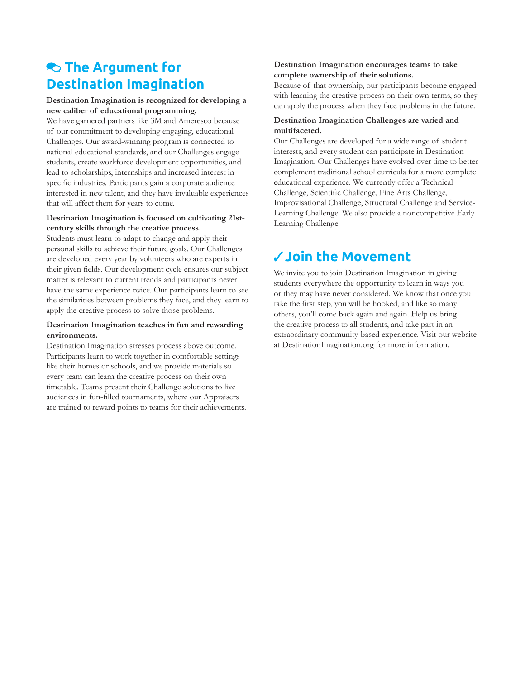## **R** The Argument for **Destination Imagination**

#### **Destination Imagination is recognized for developing a new caliber of educational programming.**

We have garnered partners like 3M and Ameresco because of our commitment to developing engaging, educational Challenges. Our award-winning program is connected to national educational standards, and our Challenges engage students, create workforce development opportunities, and lead to scholarships, internships and increased interest in specific industries. Participants gain a corporate audience interested in new talent, and they have invaluable experiences that will affect them for years to come.

#### **Destination Imagination is focused on cultivating 21stcentury skills through the creative process.**

Students must learn to adapt to change and apply their personal skills to achieve their future goals. Our Challenges are developed every year by volunteers who are experts in their given fields. Our development cycle ensures our subject matter is relevant to current trends and participants never have the same experience twice. Our participants learn to see the similarities between problems they face, and they learn to apply the creative process to solve those problems.

#### **Destination Imagination teaches in fun and rewarding environments.**

Destination Imagination stresses process above outcome. Participants learn to work together in comfortable settings like their homes or schools, and we provide materials so every team can learn the creative process on their own timetable. Teams present their Challenge solutions to live audiences in fun-filled tournaments, where our Appraisers are trained to reward points to teams for their achievements.

#### **Destination Imagination encourages teams to take complete ownership of their solutions.**

Because of that ownership, our participants become engaged with learning the creative process on their own terms, so they can apply the process when they face problems in the future.

#### **Destination Imagination Challenges are varied and multifaceted.**

Our Challenges are developed for a wide range of student interests, and every student can participate in Destination Imagination. Our Challenges have evolved over time to better complement traditional school curricula for a more complete educational experience. We currently offer a Technical Challenge, Scientific Challenge, Fine Arts Challenge, Improvisational Challenge, Structural Challenge and Service-Learning Challenge. We also provide a noncompetitive Early Learning Challenge.

# **Join the Movement**

We invite you to join Destination Imagination in giving students everywhere the opportunity to learn in ways you or they may have never considered. We know that once you take the first step, you will be hooked, and like so many others, you'll come back again and again. Help us bring the creative process to all students, and take part in an extraordinary community-based experience. Visit our website at DestinationImagination.org for more information.